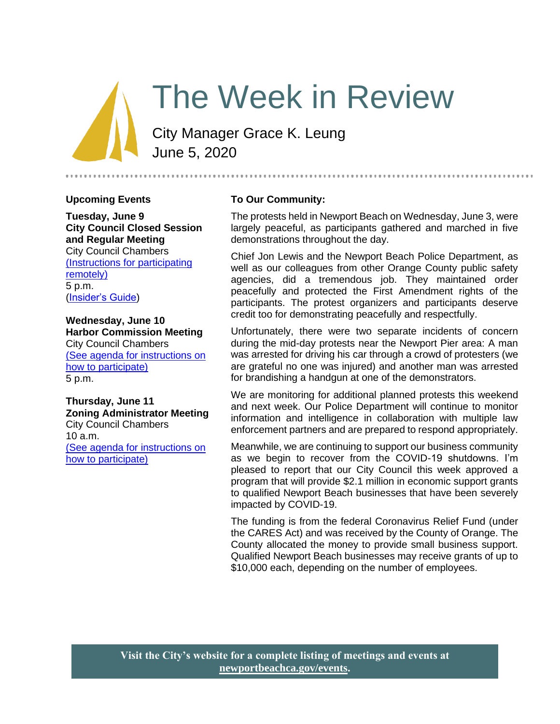# The Week in Review

City Manager Grace K. Leung June 5, 2020

#### **Upcoming Events**

**Tuesday, June 9 City Council Closed Session and Regular Meeting** City Council Chambers [\(Instructions for participating](https://newportbeachca.gov/Home/Components/Calendar/Event/54221/72)  [remotely\)](https://newportbeachca.gov/Home/Components/Calendar/Event/54221/72) 5 p.m. [\(Insider's Guide\)](https://newportbeachca.gov/government/departments/city-manager-s-office/insider-s-guide)

**Wednesday, June 10 Harbor Commission Meeting** City Council Chambers [\(See agenda for instructions on](https://newportbeachca.gov/Home/Components/Calendar/Event/63124/72)  [how to participate\)](https://newportbeachca.gov/Home/Components/Calendar/Event/63124/72) 5 p.m.

**Thursday, June 11 Zoning Administrator Meeting** City Council Chambers 10 a.m. [\(See agenda for instructions on](https://newportbeachca.gov/Home/Components/Calendar/Event/60055/72)  [how to participate\)](https://newportbeachca.gov/Home/Components/Calendar/Event/60055/72)

#### **To Our Community:**

The protests held in Newport Beach on Wednesday, June 3, were largely peaceful, as participants gathered and marched in five demonstrations throughout the day.

Chief Jon Lewis and the Newport Beach Police Department, as well as our colleagues from other Orange County public safety agencies, did a tremendous job. They maintained order peacefully and protected the First Amendment rights of the participants. The protest organizers and participants deserve credit too for demonstrating peacefully and respectfully.

Unfortunately, there were two separate incidents of concern during the mid-day protests near the Newport Pier area: A man was arrested for driving his car through a crowd of protesters (we are grateful no one was injured) and another man was arrested for brandishing a handgun at one of the demonstrators.

We are monitoring for additional planned protests this weekend and next week. Our Police Department will continue to monitor information and intelligence in collaboration with multiple law enforcement partners and are prepared to respond appropriately.

Meanwhile, we are continuing to support our business community as we begin to recover from the COVID-19 shutdowns. I'm pleased to report that our City Council this week approved a program that will provide \$2.1 million in economic support grants to qualified Newport Beach businesses that have been severely impacted by COVID-19.

The funding is from the federal Coronavirus Relief Fund (under the CARES Act) and was received by the County of Orange. The County allocated the money to provide small business support. Qualified Newport Beach businesses may receive grants of up to \$10,000 each, depending on the number of employees.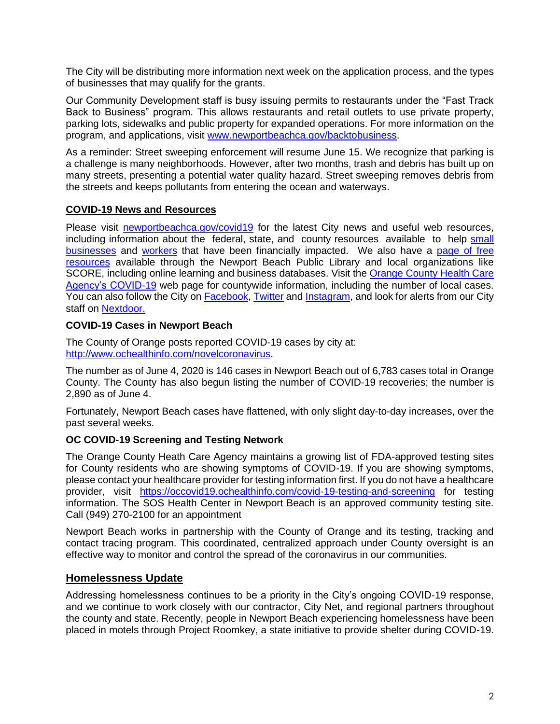The City will be distributing more information next week on the application process, and the types of businesses that may qualify for the grants.

Our Community Development staff is busy issuing permits to restaurants under the "Fast Track Back to Business" program. This allows restaurants and retail outlets to use private property, parking lots, sidewalks and public property for expanded operations. For more information on the program, and applications, visit [www.newportbeachca.gov/backtobusiness.](http://www.newportbeachca.gov/backtobusiness)

As a reminder: Street sweeping enforcement will resume June 15. We recognize that parking is a challenge is many neighborhoods. However, after two months, trash and debris has built up on many streets, presenting a potential water quality hazard. Street sweeping removes debris from the streets and keeps pollutants from entering the ocean and waterways.

## **COVID-19 News and Resources**

Please visit [newportbeachca.gov/covid19](https://www.newportbeachca.gov/how-do-i/find/disaster-preparedness-information/disease-outbreak/-fsiteid-1) for the latest City news and useful web resources, including information about the federal, state, and county resources available to help [small](https://www.newportbeachca.gov/government/departments/city-manager/economic-development/small-business-support)  [businesses](https://www.newportbeachca.gov/government/departments/city-manager/economic-development/small-business-support) and [workers](https://www.newportbeachca.gov/government/departments/city-manager/economic-development/support-for-employees) that have been financially impacted. We also have a [page of free](https://www.newportbeachca.gov/government/departments/city-manager/economic-development/small-business-support/business-employee-resources)  [resources](https://www.newportbeachca.gov/government/departments/city-manager/economic-development/small-business-support/business-employee-resources) available through the Newport Beach Public Library and local organizations like SCORE, including online learning and business databases. Visit the [Orange County Health Care](https://www.ochealthinfo.com/phs/about/epidasmt/epi/dip/prevention/novel_coronavirus)  [Agency's COVID-19](https://www.ochealthinfo.com/phs/about/epidasmt/epi/dip/prevention/novel_coronavirus) web page for countywide information, including the number of local cases. You can also follow the City on [Facebook,](https://www.facebook.com/pg/CityofNewportBeach) [Twitter](https://twitter.com/newportbeachgov) and [Instagram,](https://www.instagram.com/cityofnewportbeach/) and look for alerts from our City staff on [Nextdoor.](https://nextdoor.com/agency/city-of-newport-beach/?i=ltdytbjdbdkntfqttgcm)

## **COVID-19 Cases in Newport Beach**

The County of Orange posts reported COVID-19 cases by city at: [http://www.ochealthinfo.com/novelcoronavirus.](http://www.ochealthinfo.com/novelcoronavirus)

The number as of June 4, 2020 is 146 cases in Newport Beach out of 6,783 cases total in Orange County. The County has also begun listing the number of COVID-19 recoveries; the number is 2,890 as of June 4.

Fortunately, Newport Beach cases have flattened, with only slight day-to-day increases, over the past several weeks.

# **OC COVID-19 Screening and Testing Network**

The Orange County Heath Care Agency maintains a growing list of FDA-approved testing sites for County residents who are showing symptoms of COVID-19. If you are showing symptoms, please contact your healthcare provider for testing information first. If you do not have a healthcare provider, visit <https://occovid19.ochealthinfo.com/covid-19-testing-and-screening> for testing information. The SOS Health Center in Newport Beach is an approved community testing site. Call (949) 270-2100 for an appointment

Newport Beach works in partnership with the County of Orange and its testing, tracking and contact tracing program. This coordinated, centralized approach under County oversight is an effective way to monitor and control the spread of the coronavirus in our communities.

# **Homelessness Update**

Addressing homelessness continues to be a priority in the City's ongoing COVID-19 response, and we continue to work closely with our contractor, City Net, and regional partners throughout the county and state. Recently, people in Newport Beach experiencing homelessness have been placed in motels through Project Roomkey, a state initiative to provide shelter during COVID-19.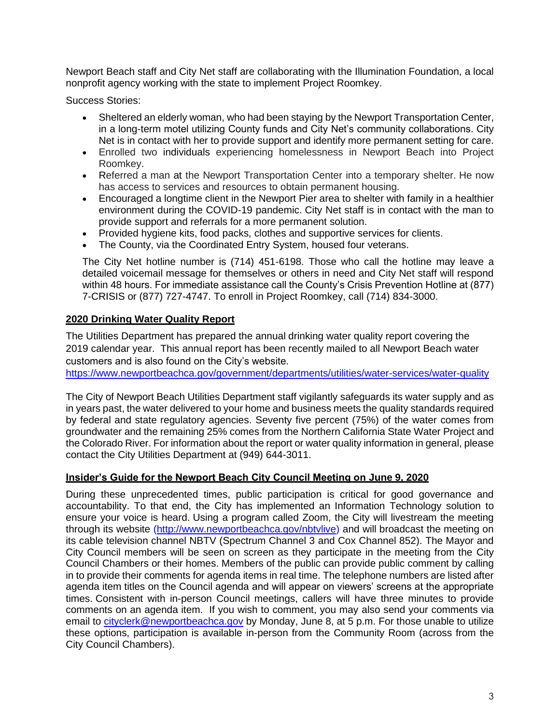Newport Beach staff and City Net staff are collaborating with the Illumination Foundation, a local nonprofit agency working with the state to implement Project Roomkey.

Success Stories:

- Sheltered an elderly woman, who had been staying by the Newport Transportation Center, in a long-term motel utilizing County funds and City Net's community collaborations. City Net is in contact with her to provide support and identify more permanent setting for care.
- Enrolled two individuals experiencing homelessness in Newport Beach into Project Roomkey.
- Referred a man at the Newport Transportation Center into a temporary shelter. He now has access to services and resources to obtain permanent housing.
- Encouraged a longtime client in the Newport Pier area to shelter with family in a healthier environment during the COVID-19 pandemic. City Net staff is in contact with the man to provide support and referrals for a more permanent solution.
- Provided hygiene kits, food packs, clothes and supportive services for clients.
- The County, via the Coordinated Entry System, housed four veterans.

The City Net hotline number is (714) 451-6198. Those who call the hotline may leave a detailed voicemail message for themselves or others in need and City Net staff will respond within 48 hours. For immediate assistance call the County's Crisis Prevention Hotline at (877) 7-CRISIS or (877) 727-4747. To enroll in Project Roomkey, call (714) 834-3000.

## **2020 Drinking Water Quality Report**

The Utilities Department has prepared the annual drinking water quality report covering the 2019 calendar year. This annual report has been recently mailed to all Newport Beach water customers and is also found on the City's website.

<https://www.newportbeachca.gov/government/departments/utilities/water-services/water-quality>

The City of Newport Beach Utilities Department staff vigilantly safeguards its water supply and as in years past, the water delivered to your home and business meets the quality standards required by federal and state regulatory agencies. Seventy five percent (75%) of the water comes from groundwater and the remaining 25% comes from the Northern California State Water Project and the Colorado River. For information about the report or water quality information in general, please contact the City Utilities Department at (949) 644-3011.

## **Insider's Guide for the Newport Beach City Council Meeting on June 9, 2020**

During these unprecedented times, public participation is critical for good governance and accountability. To that end, the City has implemented an Information Technology solution to ensure your voice is heard. Using a program called Zoom, the City will livestream the meeting through its website [\(http://www.newportbeachca.gov/nbtvlive\)](http://www.newportbeachca.gov/nbtvlive) and will broadcast the meeting on its cable television channel NBTV (Spectrum Channel 3 and Cox Channel 852). The Mayor and City Council members will be seen on screen as they participate in the meeting from the City Council Chambers or their homes. Members of the public can provide public comment by calling in to provide their comments for agenda items in real time. The telephone numbers are listed after agenda item titles on the Council agenda and will appear on viewers' screens at the appropriate times. Consistent with in-person Council meetings, callers will have three minutes to provide comments on an agenda item. If you wish to comment, you may also send your comments via email to [cityclerk@newportbeachca.gov](mailto:cityclerk@newportbeachca.gov) by Monday, June 8, at 5 p.m. For those unable to utilize these options, participation is available in-person from the Community Room (across from the City Council Chambers).